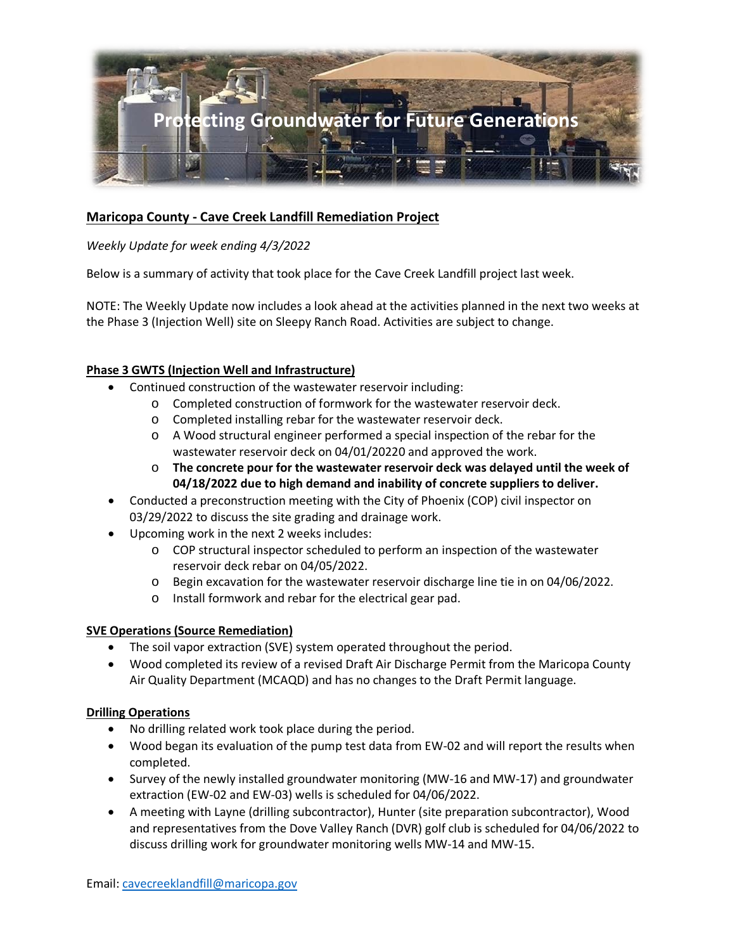

# **Maricopa County - Cave Creek Landfill Remediation Project**

# *Weekly Update for week ending 4/3/2022*

Below is a summary of activity that took place for the Cave Creek Landfill project last week.

NOTE: The Weekly Update now includes a look ahead at the activities planned in the next two weeks at the Phase 3 (Injection Well) site on Sleepy Ranch Road. Activities are subject to change.

# **Phase 3 GWTS (Injection Well and Infrastructure)**

- Continued construction of the wastewater reservoir including:
	- o Completed construction of formwork for the wastewater reservoir deck.
	- o Completed installing rebar for the wastewater reservoir deck.
	- o A Wood structural engineer performed a special inspection of the rebar for the wastewater reservoir deck on 04/01/20220 and approved the work.
	- o **The concrete pour for the wastewater reservoir deck was delayed until the week of 04/18/2022 due to high demand and inability of concrete suppliers to deliver.**
- Conducted a preconstruction meeting with the City of Phoenix (COP) civil inspector on 03/29/2022 to discuss the site grading and drainage work.
- Upcoming work in the next 2 weeks includes:
	- o COP structural inspector scheduled to perform an inspection of the wastewater reservoir deck rebar on 04/05/2022.
	- o Begin excavation for the wastewater reservoir discharge line tie in on 04/06/2022.
	- o Install formwork and rebar for the electrical gear pad.

#### **SVE Operations (Source Remediation)**

- The soil vapor extraction (SVE) system operated throughout the period.
- Wood completed its review of a revised Draft Air Discharge Permit from the Maricopa County Air Quality Department (MCAQD) and has no changes to the Draft Permit language.

#### **Drilling Operations**

- No drilling related work took place during the period.
- Wood began its evaluation of the pump test data from EW-02 and will report the results when completed.
- Survey of the newly installed groundwater monitoring (MW-16 and MW-17) and groundwater extraction (EW-02 and EW-03) wells is scheduled for 04/06/2022.
- A meeting with Layne (drilling subcontractor), Hunter (site preparation subcontractor), Wood and representatives from the Dove Valley Ranch (DVR) golf club is scheduled for 04/06/2022 to discuss drilling work for groundwater monitoring wells MW-14 and MW-15.